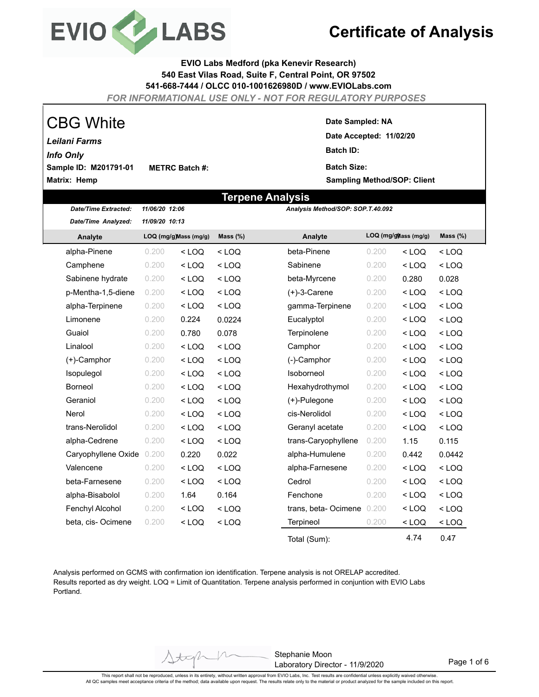

**EVIO Labs Medford (pka Kenevir Research) 540 East Vilas Road, Suite F, Central Point, OR 97502 541-668-7444 / OLCC 010-1001626980D / www.EVIOLabs.com**

*FOR INFORMATIONAL USE ONLY - NOT FOR REGULATORY PURPOSES*

| <b>CBG White</b>      |                       |
|-----------------------|-----------------------|
| Leilani Farms         |                       |
| <b>Info Only</b>      |                       |
| Sample ID: M201791-01 | <b>METRC Batch #:</b> |
| Matrix: Hemp          |                       |

#### **Date Sampled: NA**

**Date Accepted: 11/02/20 Batch ID: Batch Size:** 

**Sampling Method/SOP: Client**

|                             |                                                                           |         | Terpene Analysis |                                   |       |         |         |  |
|-----------------------------|---------------------------------------------------------------------------|---------|------------------|-----------------------------------|-------|---------|---------|--|
| <b>Date/Time Extracted:</b> | 11/06/20 12:06                                                            |         |                  | Analysis Method/SOP: SOP.T.40.092 |       |         |         |  |
| Date/Time Analyzed:         | 11/09/20 10:13                                                            |         |                  |                                   |       |         |         |  |
| Analyte                     | LOQ (mg/g) ass (mg/g)<br>LOQ (mg/g) Mass (mg/g)<br>Mass $(\%)$<br>Analyte |         |                  | Mass $(\%)$                       |       |         |         |  |
| alpha-Pinene                | 0.200                                                                     | $<$ LOQ | $<$ LOQ          | beta-Pinene                       | 0.200 | $<$ LOQ | $<$ LOQ |  |
| Camphene                    | 0.200                                                                     | $<$ LOQ | $<$ LOQ          | Sabinene                          | 0.200 | $<$ LOQ | $<$ LOQ |  |
| Sabinene hydrate            | 0.200                                                                     | $<$ LOQ | $<$ LOQ          | beta-Myrcene                      | 0.200 | 0.280   | 0.028   |  |
| p-Mentha-1,5-diene          | 0.200                                                                     | $<$ LOQ | $<$ LOQ          | $(+)$ -3-Carene                   | 0.200 | $<$ LOQ | $<$ LOQ |  |
| alpha-Terpinene             | 0.200                                                                     | $<$ LOQ | $<$ LOQ          | gamma-Terpinene                   | 0.200 | $<$ LOQ | $<$ LOQ |  |
| Limonene                    | 0.200                                                                     | 0.224   | 0.0224           | Eucalyptol                        | 0.200 | $<$ LOQ | $<$ LOQ |  |
| Guaiol                      | 0.200                                                                     | 0.780   | 0.078            | Terpinolene                       | 0.200 | $<$ LOQ | $<$ LOQ |  |
| Linalool                    | 0.200                                                                     | $<$ LOQ | $<$ LOQ          | Camphor                           | 0.200 | $<$ LOQ | $<$ LOQ |  |
| (+)-Camphor                 | 0.200                                                                     | $<$ LOQ | $<$ LOQ          | (-)-Camphor                       | 0.200 | $<$ LOQ | $<$ LOQ |  |
| Isopulegol                  | 0.200                                                                     | $<$ LOQ | $<$ LOQ          | Isoborneol                        | 0.200 | $<$ LOQ | $<$ LOQ |  |
| <b>Borneol</b>              | 0.200                                                                     | $<$ LOQ | $<$ LOQ          | Hexahydrothymol                   | 0.200 | $<$ LOQ | $<$ LOQ |  |
| Geraniol                    | 0.200                                                                     | $<$ LOQ | $<$ LOQ          | (+)-Pulegone                      | 0.200 | $<$ LOQ | $<$ LOQ |  |
| Nerol                       | 0.200                                                                     | $<$ LOQ | $<$ LOQ          | cis-Nerolidol                     | 0.200 | $<$ LOQ | $<$ LOQ |  |
| trans-Nerolidol             | 0.200                                                                     | $<$ LOQ | $<$ LOQ          | Geranyl acetate                   | 0.200 | $<$ LOQ | $<$ LOQ |  |
| alpha-Cedrene               | 0.200                                                                     | $<$ LOQ | $<$ LOQ          | trans-Caryophyllene               | 0.200 | 1.15    | 0.115   |  |
| Caryophyllene Oxide         | 0.200                                                                     | 0.220   | 0.022            | alpha-Humulene                    | 0.200 | 0.442   | 0.0442  |  |
| Valencene                   | 0.200                                                                     | $<$ LOQ | $<$ LOQ          | alpha-Farnesene                   | 0.200 | $<$ LOQ | $<$ LOQ |  |
| beta-Farnesene              | 0.200                                                                     | $<$ LOQ | $<$ LOQ          | Cedrol                            | 0.200 | $<$ LOQ | $<$ LOQ |  |
| alpha-Bisabolol             | 0.200                                                                     | 1.64    | 0.164            | Fenchone                          | 0.200 | $<$ LOQ | $<$ LOQ |  |
| Fenchyl Alcohol             | 0.200                                                                     | $<$ LOQ | $<$ LOQ          | trans, beta-Ocimene               | 0.200 | $<$ LOQ | $<$ LOQ |  |
| beta, cis-Ocimene           | 0.200                                                                     | $<$ LOQ | $<$ LOQ          | Terpineol                         | 0.200 | $<$ LOQ | $<$ LOQ |  |
|                             |                                                                           |         |                  | Total (Sum):                      |       | 4.74    | 0.47    |  |

Analysis performed on GCMS with confirmation ion identification. Terpene analysis is not ORELAP accredited. Results reported as dry weight. LOQ = Limit of Quantitation. Terpene analysis performed in conjuntion with EVIO Labs Portland.

 $+x$ 

Stephanie Moon Laboratory Director - 11/9/2020

Page 1 of 6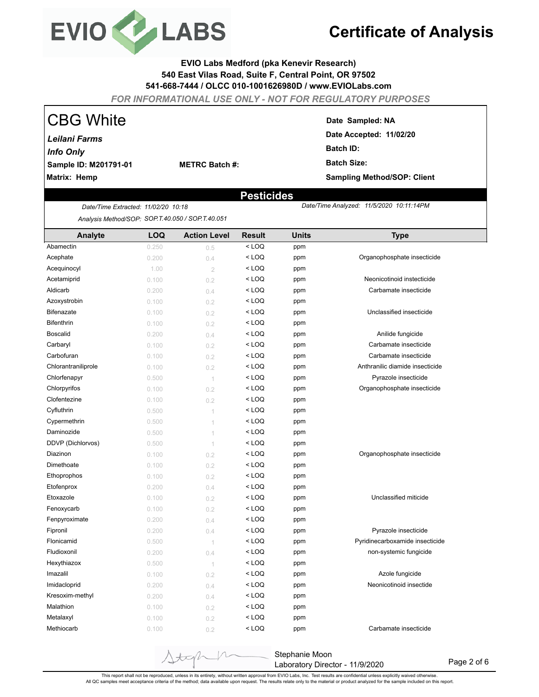

#### **EVIO Labs Medford (pka Kenevir Research) 540 East Vilas Road, Suite F, Central Point, OR 97502 541-668-7444 / OLCC 010-1001626980D / www.EVIOLabs.com**

*FOR INFORMATIONAL USE ONLY - NOT FOR REGULATORY PURPOSES*

| <b>CBG White</b>      |                       | Date Sampled: NA                   |
|-----------------------|-----------------------|------------------------------------|
| Leilani Farms         |                       | Date Accepted: 11/02/20            |
| <b>Info Only</b>      |                       | <b>Batch ID:</b>                   |
| Sample ID: M201791-01 | <b>METRC Batch #:</b> | <b>Batch Size:</b>                 |
| Matrix: Hemp          |                       | <b>Sampling Method/SOP: Client</b> |
|                       |                       |                                    |

### **Pesticides**

 *11/5/2020 10:11:14PM*

*Analysis Method/SOP: SOP.T.40.050 / SOP.T.40.051*

*Date/Time Extracted Date/Time Analyzed: : 11/02/20 10:18*

| Analyte             | <b>LOQ</b> | <b>Action Level</b>      | <b>Result</b>                            | <b>Units</b> | <b>Type</b>                     |
|---------------------|------------|--------------------------|------------------------------------------|--------------|---------------------------------|
| Abamectin           | 0.250      | 0.5                      | $<$ LOQ                                  | ppm          |                                 |
| Acephate            | 0.200      | 0.4                      | < LOQ                                    | ppm          | Organophosphate insecticide     |
| Acequinocyl         | 1.00       | $\overline{2}$           | < LOQ                                    | ppm          |                                 |
| Acetamiprid         | 0.100      | 0.2                      | < LOQ                                    | ppm          | Neonicotinoid instecticide      |
| Aldicarb            | 0.200      | 0.4                      | $<$ LOQ                                  | ppm          | Carbamate insecticide           |
| Azoxystrobin        | 0.100      | 0.2                      | $<$ LOQ                                  | ppm          |                                 |
| <b>Bifenazate</b>   | 0.100      | 0.2                      | $<$ LOQ                                  | ppm          | Unclassified insecticide        |
| <b>Bifenthrin</b>   | 0.100      | 0.2                      | $<$ LOQ                                  | ppm          |                                 |
| <b>Boscalid</b>     | 0.200      | 0.4                      | $<$ LOQ                                  | ppm          | Anilide fungicide               |
| Carbaryl            | 0.100      | 0.2                      | $<$ LOQ                                  | ppm          | Carbamate insecticide           |
| Carbofuran          | 0.100      | 0.2                      | $<$ LOQ                                  | ppm          | Carbamate insecticide           |
| Chlorantraniliprole | 0.100      | 0.2                      | $<$ LOQ                                  | ppm          | Anthranilic diamide insecticide |
| Chlorfenapyr        | 0.500      | $\overline{1}$           | $<$ LOQ                                  | ppm          | Pyrazole insecticide            |
| Chlorpyrifos        | 0.100      | 0.2                      | $<$ LOQ                                  | ppm          | Organophosphate insecticide     |
| Clofentezine        | 0.100      | 0.2                      | $<$ LOQ                                  | ppm          |                                 |
| Cyfluthrin          | 0.500      | 1                        | $<$ LOQ                                  | ppm          |                                 |
| Cypermethrin        | 0.500      | $\overline{\phantom{a}}$ | $<$ LOQ                                  | ppm          |                                 |
| Daminozide          | 0.500      | 1                        | $<$ LOQ                                  | ppm          |                                 |
| DDVP (Dichlorvos)   | 0.500      | $\overline{\phantom{a}}$ | < LOQ                                    | ppm          |                                 |
| Diazinon            | 0.100      | 0.2                      | $<$ LOQ                                  | ppm          | Organophosphate insecticide     |
| Dimethoate          | 0.100      | 0.2                      | $<$ LOQ                                  | ppm          |                                 |
| Ethoprophos         | 0.100      | 0.2                      | $<$ LOQ                                  | ppm          |                                 |
| Etofenprox          | 0.200      | 0.4                      | $<$ LOQ                                  | ppm          |                                 |
| Etoxazole           | 0.100      | 0.2                      | $<$ LOQ                                  | ppm          | Unclassified miticide           |
| Fenoxycarb          | 0.100      | 0.2                      | $<$ LOQ                                  | ppm          |                                 |
| Fenpyroximate       | 0.200      | 0.4                      | $<$ LOQ                                  | ppm          |                                 |
| Fipronil            | 0.200      | 0.4                      | $<$ LOQ                                  | ppm          | Pyrazole insecticide            |
| Flonicamid          | 0.500      | $\overline{\phantom{a}}$ | $<$ LOQ                                  | ppm          | Pyridinecarboxamide insecticide |
| Fludioxonil         | 0.200      | 0.4                      | $<$ LOQ                                  | ppm          | non-systemic fungicide          |
| Hexythiazox         | 0.500      | 1                        | $<$ LOQ                                  | ppm          |                                 |
| Imazalil            | 0.100      | 0.2                      | $<$ LOQ                                  | ppm          | Azole fungicide                 |
| Imidacloprid        | 0.200      | 0.4                      | < LOQ                                    | ppm          | Neonicotinoid insectide         |
| Kresoxim-methyl     | 0.200      | 0.4                      | < LOQ                                    | ppm          |                                 |
| Malathion           | 0.100      | 0.2                      | <loq< td=""><td>ppm</td><td></td></loq<> | ppm          |                                 |
| Metalaxyl           | 0.100      | 0.2                      | $<$ LOQ                                  | ppm          |                                 |
| Methiocarb          | 0.100      | 0.2                      | $<$ LOQ                                  | ppm          | Carbamate insecticide           |

Stephanie Moon Laboratory Director - 11/9/2020

Page 2 of 6

This report shall not be reproduced, unless in its entirety, without written approval from EVIO Labs, Inc. Test results are confidential unless explicitly waived otherwise.<br>All QC samples meet acceptance criteria of the me

 $+\pi$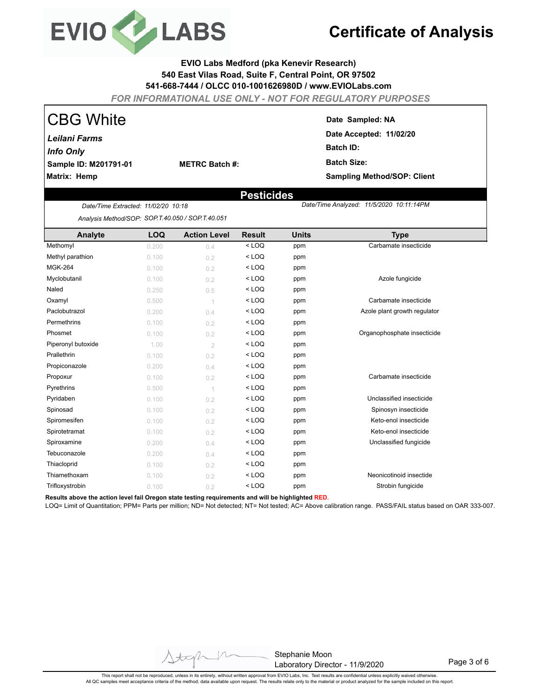

#### **EVIO Labs Medford (pka Kenevir Research) 540 East Vilas Road, Suite F, Central Point, OR 97502 541-668-7444 / OLCC 010-1001626980D / www.EVIOLabs.com**

*FOR INFORMATIONAL USE ONLY - NOT FOR REGULATORY PURPOSES*

| <b>CBG White</b>      |                       |
|-----------------------|-----------------------|
| Leilani Farms         |                       |
| <b>Info Only</b>      |                       |
| Sample ID: M201791-01 | <b>METRC Batch #:</b> |
| Matrix: Hemp          |                       |

**Date Sampled: NA**

**Date Accepted: 11/02/20 Batch ID: Batch Size: Sampling Method/SOP: Client**

 *11/5/2020 10:11:14PM*

### **Pesticides**

*Date/Time Extracted Date/Time Analyzed: : 11/02/20 10:18 Analysis Method/SOP: SOP.T.40.050 / SOP.T.40.051*

| Analyte            | <b>LOQ</b> | <b>Action Level</b> | <b>Result</b> | <b>Units</b> | <b>Type</b>                  |
|--------------------|------------|---------------------|---------------|--------------|------------------------------|
| Methomyl           | 0.200      | 0.4                 | $<$ LOQ       | ppm          | Carbamate insecticide        |
| Methyl parathion   | 0.100      | 0.2                 | $<$ LOQ       | ppm          |                              |
| <b>MGK-264</b>     | 0.100      | 0.2                 | $<$ LOQ       | ppm          |                              |
| Myclobutanil       | 0.100      | 0.2                 | $<$ LOQ       | ppm          | Azole fungicide              |
| Naled              | 0.250      | 0.5                 | $<$ LOQ       | ppm          |                              |
| Oxamyl             | 0.500      | $\overline{1}$      | $<$ LOQ       | ppm          | Carbamate insecticide        |
| Paclobutrazol      | 0.200      | 0.4                 | $<$ LOQ       | ppm          | Azole plant growth regulator |
| Permethrins        | 0.100      | 0.2                 | $<$ LOQ       | ppm          |                              |
| Phosmet            | 0.100      | 0.2                 | $<$ LOQ       | ppm          | Organophosphate insecticide  |
| Piperonyl butoxide | 1.00       | $\overline{2}$      | $<$ LOQ       | ppm          |                              |
| Prallethrin        | 0.100      | 0.2                 | $<$ LOQ       | ppm          |                              |
| Propiconazole      | 0.200      | 0.4                 | $<$ LOQ       | ppm          |                              |
| Propoxur           | 0.100      | 0.2                 | $<$ LOQ       | ppm          | Carbamate insecticide        |
| Pyrethrins         | 0.500      | $\overline{1}$      | $<$ LOQ       | ppm          |                              |
| Pyridaben          | 0.100      | 0.2                 | $<$ LOQ       | ppm          | Unclassified insecticide     |
| Spinosad           | 0.100      | 0.2                 | $<$ LOQ       | ppm          | Spinosyn insecticide         |
| Spiromesifen       | 0.100      | 0.2                 | $<$ LOQ       | ppm          | Keto-enol insecticide        |
| Spirotetramat      | 0.100      | 0.2                 | $<$ LOQ       | ppm          | Keto-enol insecticide        |
| Spiroxamine        | 0.200      | 0.4                 | $<$ LOQ       | ppm          | Unclassified fungicide       |
| Tebuconazole       | 0.200      | 0.4                 | $<$ LOQ       | ppm          |                              |
| Thiacloprid        | 0.100      | 0.2                 | $<$ LOQ       | ppm          |                              |
| Thiamethoxam       | 0.100      | 0.2                 | $<$ LOQ       | ppm          | Neonicotinoid insectide      |
| Trifloxystrobin    | 0.100      | 0.2                 | $<$ LOQ       | ppm          | Strobin fungicide            |

**Results above the action level fail Oregon state testing requirements and will be highlighted RED**.

LOQ= Limit of Quantitation; PPM= Parts per million; ND= Not detected; NT= Not tested; AC= Above calibration range. PASS/FAIL status based on OAR 333-007.

Stephanie Moon Laboratory Director - 11/9/2020

Page 3 of 6

This report shall not be reproduced, unless in its entirety, without written approval from EVIO Labs, Inc. Test results are confidential unless explicitly waived otherwise.<br>All QC samples meet acceptance criteria of the me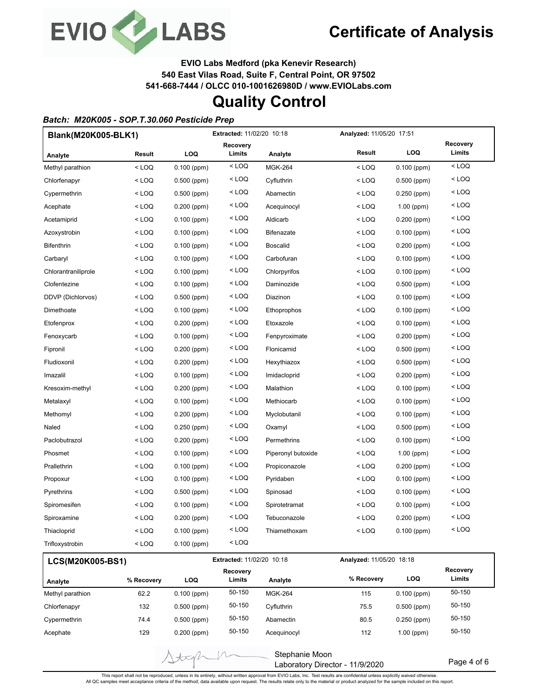

Page 4 of 6

**EVIO Labs Medford (pka Kenevir Research)**

**540 East Vilas Road, Suite F, Central Point, OR 97502**

**541-668-7444 / OLCC 010-1001626980D / www.EVIOLabs.com**

## **Quality Control**

#### *Batch: M20K005 - SOP.T.30.060 Pesticide Prep*

| Blank(M20K005-BLK1) |            |               | <b>Extracted: 11/02/20 10:18</b> |                    | Analyzed: 11/05/20 17:51 |               |                    |
|---------------------|------------|---------------|----------------------------------|--------------------|--------------------------|---------------|--------------------|
| Analyte             | Result     | LOQ           | Recovery<br>Limits               | Analyte            | Result                   | <b>LOQ</b>    | Recovery<br>Limits |
| Methyl parathion    | $<$ LOQ    | $0.100$ (ppm) | $<$ LOQ                          | <b>MGK-264</b>     | $<$ LOQ                  | $0.100$ (ppm) | $<$ LOQ            |
| Chlorfenapyr        | < LOQ      | $0.500$ (ppm) | $<$ LOQ                          | Cyfluthrin         | < LOQ                    | $0.500$ (ppm) | $<$ LOQ            |
| Cypermethrin        | $<$ LOQ    | $0.500$ (ppm) | $<$ LOQ                          | Abamectin          | < LOQ                    | $0.250$ (ppm) | $<$ LOQ            |
| Acephate            | $<$ LOQ    | $0.200$ (ppm) | < LOQ                            | Acequinocyl        | $<$ LOQ                  | $1.00$ (ppm)  | $<$ LOQ            |
| Acetamiprid         | < LOQ      | $0.100$ (ppm) | $<$ LOQ                          | Aldicarb           | $<$ LOQ                  | $0.200$ (ppm) | $<$ LOQ            |
| Azoxystrobin        | < LOQ      | $0.100$ (ppm) | < LOQ                            | <b>Bifenazate</b>  | < LOQ                    | $0.100$ (ppm) | $<$ LOQ            |
| Bifenthrin          | $<$ LOQ    | $0.100$ (ppm) | < LOQ                            | <b>Boscalid</b>    | $<$ LOQ                  | 0.200 (ppm)   | $<$ LOQ            |
| Carbaryl            | $<$ LOQ    | $0.100$ (ppm) | $<$ LOQ                          | Carbofuran         | $<$ LOQ                  | $0.100$ (ppm) | $<$ LOQ            |
| Chlorantraniliprole | $<$ LOQ    | $0.100$ (ppm) | < LOQ                            | Chlorpyrifos       | $<$ LOQ                  | $0.100$ (ppm) | $<$ LOQ            |
| Clofentezine        | $<$ LOQ    | $0.100$ (ppm) | $<$ LOQ                          | Daminozide         | < LOQ                    | $0.500$ (ppm) | $<$ LOQ            |
| DDVP (Dichlorvos)   | $<$ LOQ    | $0.500$ (ppm) | $<$ LOQ                          | Diazinon           | < LOQ                    | $0.100$ (ppm) | $<$ LOQ            |
| Dimethoate          | < LOQ      | $0.100$ (ppm) | $<$ LOQ                          | Ethoprophos        | < LOQ                    | $0.100$ (ppm) | $<$ LOQ            |
| Etofenprox          | $<$ LOQ    | $0.200$ (ppm) | $<$ LOQ                          | Etoxazole          | $<$ LOQ                  | $0.100$ (ppm) | $<$ LOQ            |
| Fenoxycarb          | $<$ LOQ    | $0.100$ (ppm) | $<$ LOQ                          | Fenpyroximate      | < LOQ                    | $0.200$ (ppm) | $<$ LOQ            |
| Fipronil            | $<$ LOQ    | $0.200$ (ppm) | < LOQ                            | Flonicamid         | < LOQ                    | $0.500$ (ppm) | $<$ LOQ            |
| Fludioxonil         | $<$ LOQ    | $0.200$ (ppm) | $<$ LOQ                          | Hexythiazox        | < LOQ                    | $0.500$ (ppm) | $<$ LOQ            |
| Imazalil            | $<$ LOQ    | $0.100$ (ppm) | < LOQ                            | Imidacloprid       | $<$ LOQ                  | $0.200$ (ppm) | $<$ LOQ            |
| Kresoxim-methyl     | < LOQ      | $0.200$ (ppm) | < LOQ                            | Malathion          | $<$ LOQ                  | $0.100$ (ppm) | $<$ LOQ            |
| Metalaxyl           | $<$ LOQ    | $0.100$ (ppm) | < LOQ                            | Methiocarb         | $<$ LOQ                  | $0.100$ (ppm) | $<$ LOQ            |
| Methomyl            | $<$ LOQ    | $0.200$ (ppm) | $<$ LOQ                          | Myclobutanil       | $<$ LOQ                  | $0.100$ (ppm) | $<$ LOQ            |
| Naled               | $<$ LOQ    | $0.250$ (ppm) | $<$ LOQ                          | Oxamyl             | < LOQ                    | 0.500 (ppm)   | $<$ LOQ            |
| Paclobutrazol       | $<$ LOQ    | $0.200$ (ppm) | $<$ LOQ                          | Permethrins        | $<$ LOQ                  | $0.100$ (ppm) | $<$ LOQ            |
| Phosmet             | $<$ LOQ    | $0.100$ (ppm) | < LOQ                            | Piperonyl butoxide | < LOQ                    | $1.00$ (ppm)  | $<$ LOQ            |
| Prallethrin         | $<$ LOQ    | $0.100$ (ppm) | < LOQ                            | Propiconazole      | < LOQ                    | $0.200$ (ppm) | < LOQ              |
| Propoxur            | < LOQ      | $0.100$ (ppm) | $<$ LOQ                          | Pyridaben          | < LOQ                    | $0.100$ (ppm) | $<$ LOQ            |
| Pyrethrins          | < LOQ      | $0.500$ (ppm) | $<$ LOQ                          | Spinosad           | < LOQ                    | $0.100$ (ppm) | $<$ LOQ            |
| Spiromesifen        | < LOQ      | $0.100$ (ppm) | < LOQ                            | Spirotetramat      | < LOQ                    | $0.100$ (ppm) | $<$ LOQ            |
| Spiroxamine         | $<$ LOQ    | $0.200$ (ppm) | < LOQ                            | Tebuconazole       | $<$ LOQ                  | $0.200$ (ppm) | $<$ LOQ            |
| Thiacloprid         | $<$ LOQ    | $0.100$ (ppm) | $<$ LOQ                          | Thiamethoxam       | $<$ LOQ                  | $0.100$ (ppm) | $<$ LOQ            |
| Trifloxystrobin     | $<$ LOQ    | $0.100$ (ppm) | < LOQ                            |                    |                          |               |                    |
| LCS(M20K005-BS1)    |            |               | Extracted: 11/02/20 10:18        |                    | Analyzed: 11/05/20 18:18 |               |                    |
| Analyte             | % Recovery | LOQ           | Recovery<br>Limits               | Analyte            | % Recovery               | <b>LOQ</b>    | Recovery<br>Limits |
| Methyl parathion    | 62.2       | $0.100$ (ppm) | 50-150                           | <b>MGK-264</b>     | 115                      | $0.100$ (ppm) | 50-150             |

This report shall not be reproduced, unless in its entirety, without written approval from EVIO Labs, Inc. Test results are confidential unless explicitly waived otherwise.<br>All QC samples meet acceptance criteria of the me

Stephanie Moon

Laboratory Director - 11/9/2020

Chlorfenapyr 132 0.500 (ppm) 50-150 Cyfluthrin 75.5 0.500 (ppm) 50-150 Cypermethrin 74.4 0.500 (ppm) 50-150 Abamectin 80.5 0.250 (ppm) 50-150 Acephate 129 0.200 (ppm) 50-150 Acequinocyl 112 1.00 (ppm) 50-150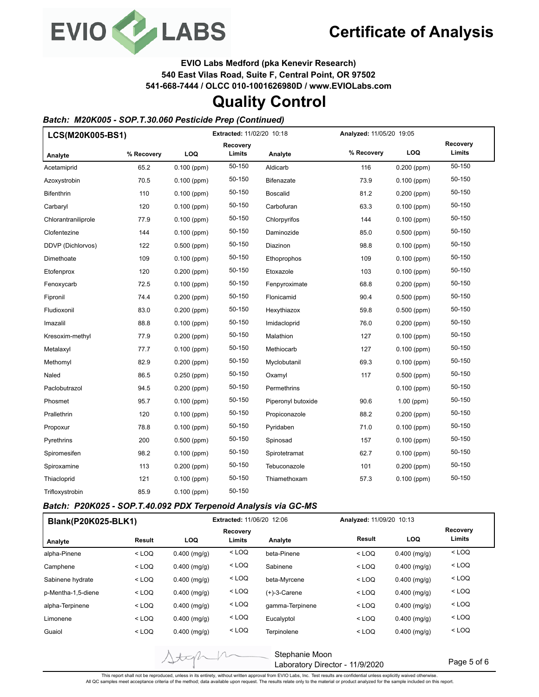

**EVIO Labs Medford (pka Kenevir Research)**

**540 East Vilas Road, Suite F, Central Point, OR 97502**

**541-668-7444 / OLCC 010-1001626980D / www.EVIOLabs.com**

## **Quality Control**

### *Batch: M20K005 - SOP.T.30.060 Pesticide Prep (Continued)*

| LCS(M20K005-BS1)    |            | Extracted: 11/02/20 10:18 |                    |                    | Analyzed: 11/05/20 19:05 |               |                    |
|---------------------|------------|---------------------------|--------------------|--------------------|--------------------------|---------------|--------------------|
| Analyte             | % Recovery | LOQ                       | Recovery<br>Limits | Analyte            | % Recovery               | LOQ           | Recovery<br>Limits |
| Acetamiprid         | 65.2       | $0.100$ (ppm)             | 50-150             | Aldicarb           | 116                      | $0.200$ (ppm) | 50-150             |
| Azoxystrobin        | 70.5       | $0.100$ (ppm)             | 50-150             | <b>Bifenazate</b>  | 73.9                     | $0.100$ (ppm) | 50-150             |
| Bifenthrin          | 110        | $0.100$ (ppm)             | 50-150             | <b>Boscalid</b>    | 81.2                     | $0.200$ (ppm) | 50-150             |
| Carbaryl            | 120        | $0.100$ (ppm)             | 50-150             | Carbofuran         | 63.3                     | $0.100$ (ppm) | 50-150             |
| Chlorantraniliprole | 77.9       | $0.100$ (ppm)             | 50-150             | Chlorpyrifos       | 144                      | $0.100$ (ppm) | 50-150             |
| Clofentezine        | 144        | $0.100$ (ppm)             | 50-150             | Daminozide         | 85.0                     | $0.500$ (ppm) | 50-150             |
| DDVP (Dichlorvos)   | 122        | $0.500$ (ppm)             | 50-150             | Diazinon           | 98.8                     | $0.100$ (ppm) | 50-150             |
| Dimethoate          | 109        | $0.100$ (ppm)             | 50-150             | Ethoprophos        | 109                      | $0.100$ (ppm) | 50-150             |
| Etofenprox          | 120        | $0.200$ (ppm)             | 50-150             | Etoxazole          | 103                      | $0.100$ (ppm) | 50-150             |
| Fenoxycarb          | 72.5       | $0.100$ (ppm)             | 50-150             | Fenpyroximate      | 68.8                     | $0.200$ (ppm) | 50-150             |
| Fipronil            | 74.4       | $0.200$ (ppm)             | 50-150             | Flonicamid         | 90.4                     | $0.500$ (ppm) | 50-150             |
| Fludioxonil         | 83.0       | $0.200$ (ppm)             | 50-150             | Hexythiazox        | 59.8                     | $0.500$ (ppm) | 50-150             |
| Imazalil            | 88.8       | $0.100$ (ppm)             | 50-150             | Imidacloprid       | 76.0                     | $0.200$ (ppm) | 50-150             |
| Kresoxim-methyl     | 77.9       | $0.200$ (ppm)             | 50-150             | Malathion          | 127                      | $0.100$ (ppm) | 50-150             |
| Metalaxyl           | 77.7       | $0.100$ (ppm)             | 50-150             | Methiocarb         | 127                      | $0.100$ (ppm) | 50-150             |
| Methomyl            | 82.9       | $0.200$ (ppm)             | 50-150             | Myclobutanil       | 69.3                     | $0.100$ (ppm) | 50-150             |
| Naled               | 86.5       | $0.250$ (ppm)             | 50-150             | Oxamyl             | 117                      | $0.500$ (ppm) | 50-150             |
| Paclobutrazol       | 94.5       | $0.200$ (ppm)             | 50-150             | Permethrins        |                          | $0.100$ (ppm) | 50-150             |
| Phosmet             | 95.7       | $0.100$ (ppm)             | 50-150             | Piperonyl butoxide | 90.6                     | $1.00$ (ppm)  | 50-150             |
| Prallethrin         | 120        | $0.100$ (ppm)             | 50-150             | Propiconazole      | 88.2                     | 0.200 (ppm)   | 50-150             |
| Propoxur            | 78.8       | $0.100$ (ppm)             | 50-150             | Pyridaben          | 71.0                     | $0.100$ (ppm) | 50-150             |
| Pyrethrins          | 200        | $0.500$ (ppm)             | 50-150             | Spinosad           | 157                      | $0.100$ (ppm) | 50-150             |
| Spiromesifen        | 98.2       | $0.100$ (ppm)             | 50-150             | Spirotetramat      | 62.7                     | $0.100$ (ppm) | 50-150             |
| Spiroxamine         | 113        | $0.200$ (ppm)             | 50-150             | Tebuconazole       | 101                      | 0.200 (ppm)   | 50-150             |
| Thiacloprid         | 121        | $0.100$ (ppm)             | 50-150             | Thiamethoxam       | 57.3                     | $0.100$ (ppm) | 50-150             |
| Trifloxystrobin     | 85.9       | $0.100$ (ppm)             | 50-150             |                    |                          |               |                    |

#### *Batch: P20K025 - SOP.T.40.092 PDX Terpenoid Analysis via GC-MS*

tip

| Blank(P20K025-BLK1) |         |                | <b>Extracted: 11/06/20 12:06</b> |                 |         | Analyzed: 11/09/20 10:13 |                    |  |
|---------------------|---------|----------------|----------------------------------|-----------------|---------|--------------------------|--------------------|--|
| Analyte             | Result  | <b>LOQ</b>     | Recovery<br>Limits               | Analyte         | Result  | <b>LOQ</b>               | Recovery<br>Limits |  |
| alpha-Pinene        | $<$ LOQ | $0.400$ (mg/g) | $<$ LOQ                          | beta-Pinene     | $<$ LOQ | $0.400$ (mg/g)           | $<$ LOQ            |  |
| Camphene            | $<$ LOQ | $0.400$ (mg/g) | $<$ LOQ                          | Sabinene        | $<$ LOQ | $0.400$ (mg/g)           | $<$ LOQ            |  |
| Sabinene hydrate    | $<$ LOQ | $0.400$ (mg/g) | $<$ LOQ                          | beta-Myrcene    | $<$ LOQ | $0.400$ (mg/g)           | $<$ LOQ            |  |
| p-Mentha-1,5-diene  | $<$ LOQ | $0.400$ (mg/g) | $<$ LOQ                          | $(+)$ -3-Carene | $<$ LOQ | $0.400$ (mg/g)           | $<$ LOQ            |  |
| alpha-Terpinene     | $<$ LOQ | $0.400$ (mg/g) | $<$ LOQ                          | gamma-Terpinene | $<$ LOQ | $0.400$ (mg/g)           | $<$ LOQ            |  |
| Limonene            | $<$ LOQ | $0.400$ (mg/g) | $<$ LOQ                          | Eucalyptol      | $<$ LOQ | $0.400$ (mg/g)           | $<$ LOQ            |  |
| Guaiol              | $<$ LOQ | $0.400$ (mg/g) | $<$ LOQ                          | Terpinolene     | $<$ LOQ | $0.400$ (mg/g)           | $<$ LOQ            |  |

Stephanie Moon Laboratory Director - 11/9/2020

Page 5 of 6

This report shall not be reproduced, unless in its entirety, without written approval from EVIO Labs, Inc. Test results are confidential unless explicitly waived otherwise.<br>All QC samples meet acceptance criteria of the me